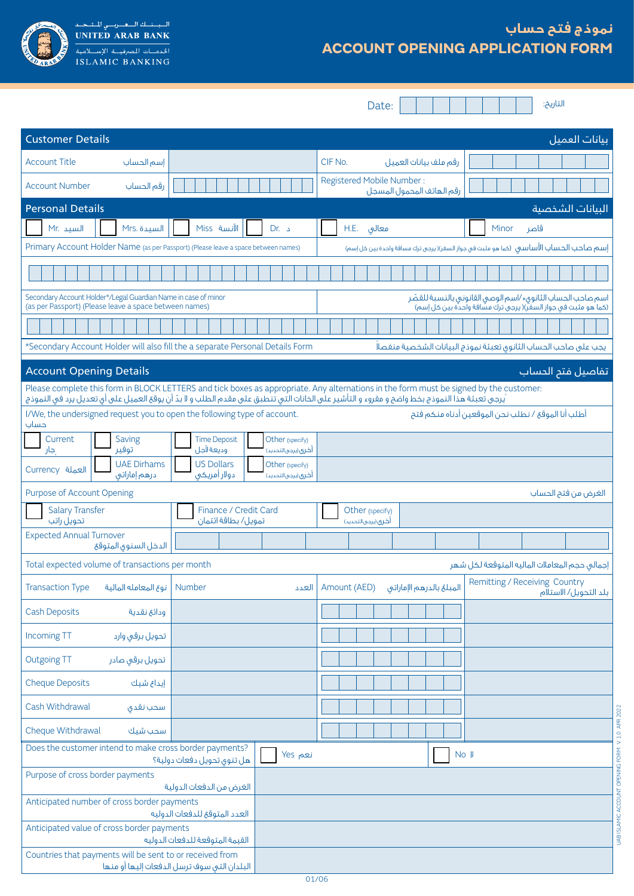

# **نموذج فتح حساب ACCOUNT OPENING APPLICATION FORM**

Date:

التاريخ:

UAB ISLAMIC ACCOUNT OPENING FORM V. 1.0 APR 2022

UAB ISLAMIC ACCOUNT OPENING FORM V.1.0 APR 2022

| <b>Customer Details</b>                                                                                                  |                                                                               |                                                                                                                                                                                                                                                                                       | بيانات العميل                                                                                                                |
|--------------------------------------------------------------------------------------------------------------------------|-------------------------------------------------------------------------------|---------------------------------------------------------------------------------------------------------------------------------------------------------------------------------------------------------------------------------------------------------------------------------------|------------------------------------------------------------------------------------------------------------------------------|
| <b>Account Title</b><br>إسم الحساب                                                                                       |                                                                               | CIF No.<br>رقم ملف بيانات العميل                                                                                                                                                                                                                                                      |                                                                                                                              |
| <b>Account Number</b><br>رقم الحساب                                                                                      |                                                                               | Registered Mobile Number:<br>رقم الهاتف المحمول المسجل                                                                                                                                                                                                                                |                                                                                                                              |
| <b>Personal Details</b>                                                                                                  |                                                                               |                                                                                                                                                                                                                                                                                       | البيانات الشخصية                                                                                                             |
| السيد .Mr<br>Mrs. السيدة                                                                                                 | الآنسة Miss<br>د .Dr                                                          | H.E. معالق                                                                                                                                                                                                                                                                            | Minor<br>قاصر                                                                                                                |
| Primary Account Holder Name (as per Passport) (Please leave a space between names)                                       |                                                                               |                                                                                                                                                                                                                                                                                       | إسم صاحب الحساب الأساسم (كما هو مثبت في جواز السفر)( يرجى ترك مسافة واحدة بين كل إسم)                                        |
|                                                                                                                          |                                                                               |                                                                                                                                                                                                                                                                                       |                                                                                                                              |
| Secondary Account Holder*/Legal Guardian Name in case of minor<br>(as per Passport) (Please leave a space between names) |                                                                               |                                                                                                                                                                                                                                                                                       | اسم صاحب الحساب الثانوق٭ ⁄اسم الوصى القانونى بالنسبة للقصّر<br>(كما هو مثبت في جواز السفر)( يرجى ترك مسافة واحدة بين كل إسم) |
|                                                                                                                          |                                                                               |                                                                                                                                                                                                                                                                                       |                                                                                                                              |
|                                                                                                                          | *Secondary Account Holder will also fill the a separate Personal Details Form |                                                                                                                                                                                                                                                                                       | يجب على صاحب الحساب الثانوق تعبئة نموذج البيانات الشخصية منفصلاً                                                             |
| <b>Account Opening Details</b>                                                                                           |                                                                               |                                                                                                                                                                                                                                                                                       | تفاصيل فتح الحساب                                                                                                            |
|                                                                                                                          |                                                                               | Please complete this form in BLOCK LETTERS and tick boxes as appropriate. Any alternations in the form must be signed by the customer:<br>يرجى تعبئة هذا النموذج بخط واضح و مقروء و التأشير على الخانات التي تنطبق على مقدم الطلب و لا بدّ أن يوقع العميل على أي تعديل يرد في النموذج |                                                                                                                              |
| I/We, the undersigned request you to open the following type of account.<br>حساب                                         |                                                                               |                                                                                                                                                                                                                                                                                       | أطلب أنا الموقع / نطلب نحن الموقعين أدناه منكم فتح                                                                           |
| Current<br>Saving<br>توفير<br>جار                                                                                        | <b>Time Deposit</b><br>Other (specify)<br>وديعة لأجل<br>أخرى(يرجىالتحديد)     |                                                                                                                                                                                                                                                                                       |                                                                                                                              |
| <b>UAE Dirhams</b><br>Currency العملة<br>درهم إماراتي                                                                    | <b>US Dollars</b><br>Other (specify)<br>دولار أمريكى<br>أخرى (يرجى التحديد)   |                                                                                                                                                                                                                                                                                       |                                                                                                                              |
| Purpose of Account Opening                                                                                               |                                                                               |                                                                                                                                                                                                                                                                                       | الغرض من فتح الحساب                                                                                                          |
| <b>Salary Transfer</b><br>تحويل راتب                                                                                     | Finance / Credit Card<br>تمويل/ بطاقة ائتمان                                  | Other (specify)<br>أخرى (يرجى التحديد)                                                                                                                                                                                                                                                |                                                                                                                              |
| <b>Expected Annual Turnover</b><br>الدخل السنوق المتوقع                                                                  |                                                                               |                                                                                                                                                                                                                                                                                       |                                                                                                                              |
| Total expected volume of transactions per month                                                                          |                                                                               |                                                                                                                                                                                                                                                                                       | إجمالى حجم المعاملات الماليه المتوقعة لكل شهر                                                                                |
| <b>Transaction Type</b><br>نوع المعامله المالية                                                                          | Number<br>العدد                                                               | Amount (AED)<br>المبلغ بالدرهم الإماراتي                                                                                                                                                                                                                                              | Remitting / Receiving Country<br>بلد التحويل/ الاستلام                                                                       |
| <b>Cash Deposits</b><br>ودائع نقدية                                                                                      |                                                                               |                                                                                                                                                                                                                                                                                       |                                                                                                                              |
| Incoming TT<br>تحويل برقى وارد                                                                                           |                                                                               |                                                                                                                                                                                                                                                                                       |                                                                                                                              |
| <b>Outgoing TT</b><br>تحويل برقى صادر                                                                                    |                                                                               |                                                                                                                                                                                                                                                                                       |                                                                                                                              |
| <b>Cheque Deposits</b><br>إيداع شيك                                                                                      |                                                                               |                                                                                                                                                                                                                                                                                       |                                                                                                                              |
| Cash Withdrawal<br>سحب نقدق                                                                                              |                                                                               |                                                                                                                                                                                                                                                                                       |                                                                                                                              |
| Cheque Withdrawal<br>سحب شيك                                                                                             |                                                                               |                                                                                                                                                                                                                                                                                       |                                                                                                                              |
| Does the customer intend to make cross border payments?                                                                  | نعم Yes<br>هل تنوق تحويل دفعات دولية؟                                         | No J                                                                                                                                                                                                                                                                                  |                                                                                                                              |
| Purpose of cross border payments                                                                                         | الغرض من الدفعات الدولية                                                      |                                                                                                                                                                                                                                                                                       |                                                                                                                              |
| Anticipated number of cross border payments                                                                              | العدد المتوقع للدفعات الدوليه                                                 |                                                                                                                                                                                                                                                                                       |                                                                                                                              |
| Anticipated value of cross border payments                                                                               | القيمة المتوقعة للدفعات الدوليه                                               |                                                                                                                                                                                                                                                                                       |                                                                                                                              |
| Countries that payments will be sent to or received from                                                                 | البلدان التى سوف ترسل الدفعات إليها أو منها                                   |                                                                                                                                                                                                                                                                                       |                                                                                                                              |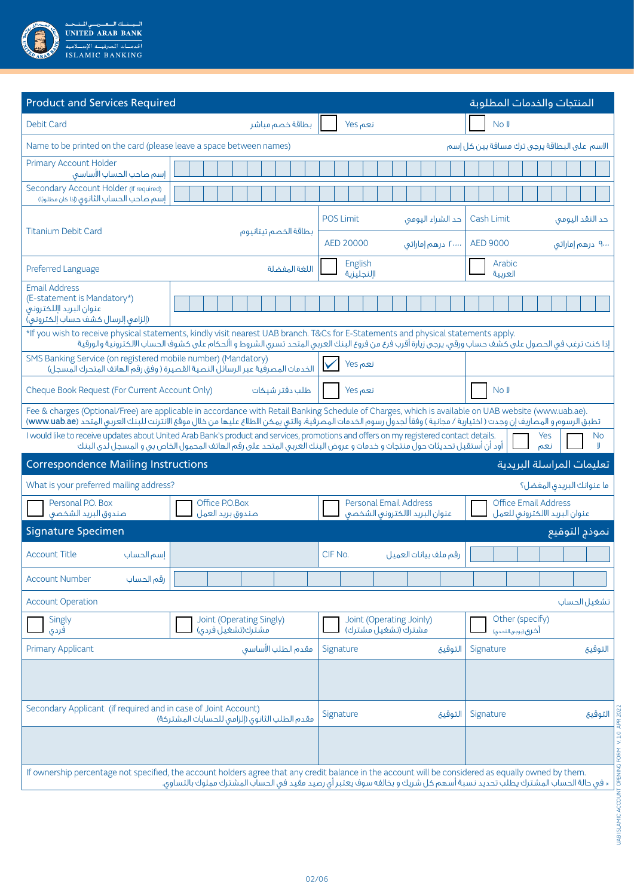

| <b>Product and Services Required</b>                                                                                                                                                                                                                             | المنتجات والخدمات المطلوبة                                                                                                                                              |
|------------------------------------------------------------------------------------------------------------------------------------------------------------------------------------------------------------------------------------------------------------------|-------------------------------------------------------------------------------------------------------------------------------------------------------------------------|
| <b>Debit Card</b><br>بطاقة خصم مباشر                                                                                                                                                                                                                             | No J<br>نعم Yes                                                                                                                                                         |
| Name to be printed on the card (please leave a space between names)                                                                                                                                                                                              | الاسم على البطاقة يرجى ترك مسافة بين كل إسم                                                                                                                             |
| <b>Primary Account Holder</b><br>إسم صاحب الحساب الأساسق                                                                                                                                                                                                         |                                                                                                                                                                         |
| Secondary Account Holder (If required)<br>إسم صاحب الحساب الثانوق (إذا كان مطلوبًا)                                                                                                                                                                              |                                                                                                                                                                         |
|                                                                                                                                                                                                                                                                  | <b>POS Limit</b><br>Cash Limit<br>حد الشراء اليومي<br>حد النقد اليومي                                                                                                   |
| <b>Titanium Debit Card</b><br>بطاقة الخصم تيتانيوم                                                                                                                                                                                                               | AED 20000<br><b>AED 9000</b><br>۲۰۰۰۰ درهم إماراتی<br>۹۰۰۰ درهم إماراتی                                                                                                 |
| Preferred Language<br>اللغة المفضلة                                                                                                                                                                                                                              | English<br>Arabic<br>اإلنجليزية<br>العربية                                                                                                                              |
| <b>Email Address</b><br>(E-statement is Mandatory*)<br>عنوان البريد اإللكتروني<br>(إلزامى إلرسال كشف حساب إلكتروني)                                                                                                                                              |                                                                                                                                                                         |
| *If you wish to receive physical statements, kindly visit nearest UAB branch. T&Cs for E-Statements and physical statements apply.                                                                                                                               | إذا كنت ترغب فى الحصول على كشف حساب ورقى، يرجى زيارة أقرب فرع من فروع البنك العربى المتحد تسرى الشروط و األحكام على كشوف الحساب الالكترونية والورقية                    |
| SMS Banking Service (on registered mobile number) (Mandatory)<br>الخدمات المصرفية عبر الرسائلُ النصية القصيرة ( وفق رقم الهاتف المتحرك المسجل)                                                                                                                   | نعم Yes                                                                                                                                                                 |
| Cheque Book Request (For Current Account Only)<br>طلب دفتر شيكات                                                                                                                                                                                                 | No J<br>نعم Yes                                                                                                                                                         |
| Fee & charges (Optional/Free) are applicable in accordance with Retail Banking Schedule of Charges, which is available on UAB website (www.uab.ae).                                                                                                              | تطبق الرسوم و المصاريف إن وجدت ( اختيارية / مجانية ) وفقاً لجدول رسوم الخدمات المصرفية، والتي يمكن الاطلاع عليها من خالل موقع الانترنت للبنك العربي المتحد (www.uab.ae) |
| I would like to receive updates about United Arab Bank's product and services, promotions and offers on my registered contact details.<br>أود أن أستقبل تحديثات حول منتجات و خدمات و عروض البنك العربى المتحد على رقم الهاتف المحمول الخاص بى و المسجل لدى البنك | Yes<br>No.<br>نعم                                                                                                                                                       |
| <b>Correspondence Mailing Instructions</b>                                                                                                                                                                                                                       | تعليمات المراسلة البريدية                                                                                                                                               |
| What is your preferred mailing address?                                                                                                                                                                                                                          | ما عنوانك البريدق المفضل؟                                                                                                                                               |
| Office P.O.Box<br>Personal P.O. Box<br>صندوق البريد الشخصى<br>صندوق بريد العمل                                                                                                                                                                                   | <b>Personal Email Address</b><br><b>Office Email Address</b><br>عنوان البريد الالكترونى الشخصى<br>عنوان البريد الالكتروني للعمل                                         |
| <b>Signature Specimen</b>                                                                                                                                                                                                                                        | نموذج التوقيع                                                                                                                                                           |
| <b>Account Title</b><br>إسم الحساب                                                                                                                                                                                                                               | CIF No<br>رقم ملف بيانات العميل                                                                                                                                         |
| <b>Account Number</b><br>رقم الحساب                                                                                                                                                                                                                              |                                                                                                                                                                         |
| <b>Account Operation</b>                                                                                                                                                                                                                                         | تشغيل الحساب                                                                                                                                                            |
| Joint (Operating Singly)<br>Singly<br>مشترك(تشغيل فردى)<br>فردى                                                                                                                                                                                                  | Joint (Operating Joinly)<br>Other (specify)<br>مشترك (تشغيل مشترك)<br>أخرى (يرجى التحدي)                                                                                |
| <b>Primary Applicant</b><br>مقدم الطلب الأساسق                                                                                                                                                                                                                   | Signature<br>التوقيع<br>Signature<br>التوقيع                                                                                                                            |
|                                                                                                                                                                                                                                                                  |                                                                                                                                                                         |
| Secondary Applicant (if required and in case of Joint Account)<br>مقدم الطلب الثانوق (إلزامي للحسابات المشتركة)                                                                                                                                                  | Signature<br>التوقيع<br>Signature<br>التوقيع                                                                                                                            |
|                                                                                                                                                                                                                                                                  |                                                                                                                                                                         |
| If ownership percentage not specified, the account holders agree that any credit balance in the account will be considered as equally owned by them.                                                                                                             |                                                                                                                                                                         |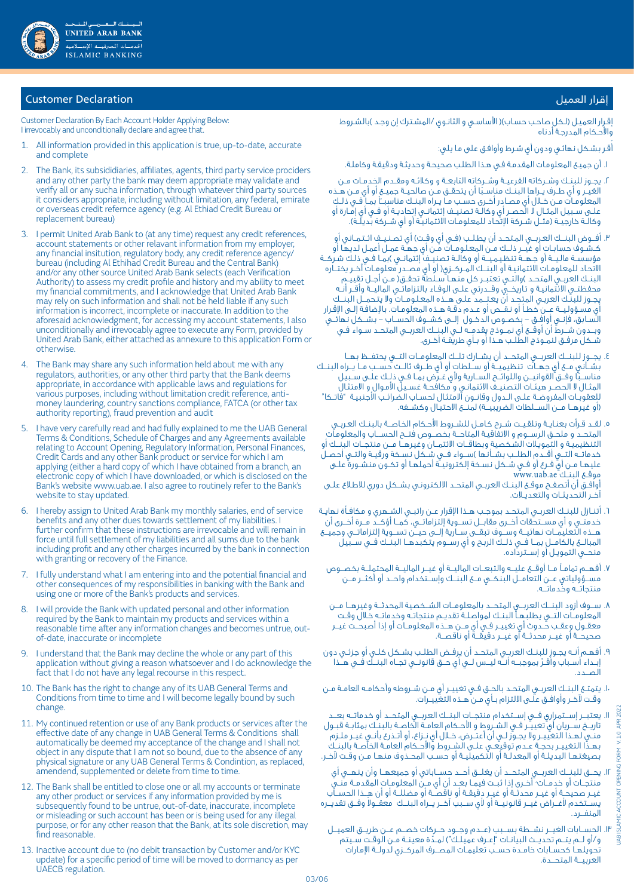

# إقرار العميل العميل المستخدمات المستخدمات المستخدمات المستخدمات المستخدمات المستخدمات المستخدمات المستخدمات ال

Customer Declaration By Each Account Holder Applying Below: I irrevocably and unconditionally declare and agree that.

- 1. All information provided in this application is true, up-to-date, accurate and complete
- 2. The Bank, its subsididiaries, affiliates, agents, third party service prociders and any other party the bank may deem appropriate may validate and verify all or any sucha information, through whatever third party sources it considers appropriate, including without limitation, any federal, emirate or overseas credit refernce agency (e.g. Al Ethiad Credit Bureau or replacement bureau)
- 3. I permit United Arab Bank to (at any time) request any credit references, account statements or other relavant information from my employer, any financial insitution, regulatory body, any credit reference agency/ bureau (including Al Ethihad Credit Bureau and the Central Bank) and/or any other source United Arab Bank selects (each Verification Authority) to assess my credit profile and history and my ability to meet my financial commitments, and I acknowledge that United Arab Bank may rely on such information and shall not be held liable if any such information is incorrect, incomplete or inaccurate. In addition to the aforesaid acknowledgment, for accessing my account statements, I also unconditionally and irrevocably agree to execute any Form, provided by United Arab Bank, either attached as annexure to this application Form or otherwise.
- 4. The Bank may share any such information held about me with any regulators, authorities, or any other third party that the Bank deems appropriate, in accordance with applicable laws and regulations for various purposes, including without limitation credit reference, antimoney laundering, country sanctions compliance, FATCA (or other tax authority reporting), fraud prevention and audit
- 5. I have very carefully read and had fully explained to me the UAB General Terms & Conditions, Schedule of Charges and any Agreements available relating to Account Opening, Regulatory Information, Personal Finances, Credit Cards and any other Bank product or service for which I am applying (either a hard copy of which I have obtained from a branch, an electronic copy of which I have downloaded, or which is disclosed on the Bank's website www.uab.ae. I also agree to routinely refer to the Bank's website to stay updated.
- 6. I hereby assign to United Arab Bank my monthly salaries, end of service benefits and any other dues towards settlement of my liabilities. I further confirm that these instructions are irrevocable and will remain in force until full settlement of my liabilities and all sums due to the bank including profit and any other charges incurred by the bank in connection with granting or recovery of the Finance.
- 7. I fully understand what I am entering into and the potential financial and other consequences of my responsibilities in banking with the Bank and using one or more of the Bank's products and services.
- I will provide the Bank with updated personal and other information required by the Bank to maintain my products and services within a reasonable time after any information changes and becomes untrue, outof-date, inaccurate or incomplete
- 9. I understand that the Bank may decline the whole or any part of this application without giving a reason whatsoever and I do acknowledge the fact that I do not have any legal recourse in this respect.
- 10. The Bank has the right to change any of its UAB General Terms and Conditions from time to time and I will become legally bound by such change.
- 11. My continued retention or use of any Bank products or services after the effective date of any change in UAB General Terms & Conditions shall automatically be deemed my acceptance of the change and I shall not object in any dispute that I am not so bound, due to the absence of any physical signature or any UAB General Terms & Condintion, as replaced, amendend, supplemented or delete from time to time.
- 12. The Bank shall be entitled to close one or all my accounts or terminate any other product or services if any information provided by me is subsequently found to be untrue, out-of-date, inaccurate, incomplete or misleading or such account has been or is being used for any illegal purpose, or for any other reason that the Bank, at its sole discretion, may find reasonable.
- 13. Inactive account due to (no debit transaction by Customer and/or KYC update) for a specific period of time will be moved to dormancy as per UAECB regulation.

إقـرار العميـل (لـكل صاحـب حسـاب)( الأساسـى و الثانـوي /المشـترك إن وجـد )بالشـروط واألحـكام المدرجـة أدناه

ُقـر بشـكل نهائـي ودون أي شـرط وأوافـق على مـا يلي: أ

- . أن جميـع المعلومـات المقدمـة فـي هـذا الطلـب صحيحـة وحديثـة ودقيقـة وكاملـة.
- r. يجــوز للبنــك وشــركاته الفرعيــة وشــركاته التابعــة و وكلائـه ومقــدم الخدمـات مــن<br>الغيــر و أى طـرف يــراها البنــك مناسـبًا أن يتحقـق مــن صالحيــة جميــع أو أى مــن هــذه الغيــر و اي طـرف يــراها البنــك مناسـبًا ان يتحقـق مــن صالحيــة جميــع او اي مــن هــذه<br>المعلومـات مــن خــلال أي مصــادر أخــرى حســب مـا يــراه البنــك مناسبـــآ بمــا فــى ذلــك ً علــى ســبيل المثـال لا الحصـر اي وكالــة تصنيــف إئتمانــى إتحاديــة او فــي اي إمـارة او وكالــة خارجيــة (مثــل شــركة الإتحـاد للمعلومـات الائتمانيـة او اي شــركة بديلــة).
- . أفـــوض البنـــك العـربـــي المـتحــد أن يطـلــب )فــي أي وقــت( أي تصـنـيــف ائــتـمــاني أو كــشــوف حسابــات أو غيـــر ذلـــك مــن المعـلـومـــات مــن أي جهــة عمــل أعمـل لديهـا أو مؤسسـة ماليـــة أو جـهــة تنظيـميــة أو وكالــة تصنِيـف إئتمانــى )بمـا فــى ذلـك شـركــة االتحـاد للمعلومــات االئتمانيـة أو البنـــك المــركـــزي) أو أي مصــدر معلومــات آخــر يختـــاره البنــك العربــى المتحــد )والتــى تعتبــر كل منهــا ســلطة تحقــق( مـن أجــل تقييــم محفظتــي الائتمانيـة و تـاريخــق وقــدرتي علــي الوفـاء بالتزاماتــي الماليــة وأقــر أنــه يجــوز للبنـك العربـي المتحـد أن يعـتـــمد علـى هـــذه المعـلـومـــات وال يتـحمـــل البنـــك أي مسـؤولـيـــة عـــن خطــأ أو نـقـــص أو عــدم دقــة هــذه المعلومــات. باإلضافـة إلــى اإلقـرار الســابق، فإنــي أوافــق - بخصــوص الدخــول إلـــى كشـــوف الحســـاب - بشـــكل نهائـــي وبـــدون شـــرط أن أوقـــع أي نمـــوذج يقدمـــه لـــي البنـــك العربـــي المتحــد ســواء فــي شــكل مرفــق لنمــوذج الطلــب هــذا أو بــأي طريقــة أخــرى.
- . يجـــوز للبنـــك العربـــي المتحـــد أن يشـــارك تلـــك المعلومـــات التـــي يحتفـــظ بهـــا بشــأني مــع أي جـهــآت تنظيميــة أو ســـلطات أو أي طـــرف ثالــث حســب مــا يــراه البنــك<br>مناســبا وفــق القوانيــن واللوائــح الســارية ولأي غــرض بمــا فـي ذلٍـك عـلـى سـبيل مناســبًا وفــق القوانيــن واللوائــح الســارية ولاي غــرض بمــا فــي ذلـك علــى ســبيل<br>المثــال لا الحصــر هيئــات التصنيــف الائتمانـى و مكافحــة غســيل الأمـوال و الامتثـال للعقوبــات المفروضــة عـلــى الــدول وقانــون الامتثـال لحســاب الضرائـب الاجنبيـة "فاتــكا" (أو غيرهــا مــن الســلطات الضريبيــة) لمنــع الاحتيـال وكشــفه.
- . لقــد قـرأت بعنـايــة وتلقـيــت شــرح كـامــل للشــروط األحـكام الخـاصـــة بالبنــك العـربــي المتحــد و ملحــق الرســـوم و االتفاقيـة المتاحـــة بخصـــوص فتـــح الحســــاب والمعلومـات التنظيميـة و التمويـات الشـخصية وبطاقـــات االئتمـــان وغيرهـــا مـــن منتجـــات البنـــك أو خدماتــه التـــق أقــدم الطلــب بشــأنـها )ســواء فــي شــكل نسـخة ورقيــة والتــي أحصـل عليهــا مــن أي فــرع أو فــي شــكل نســخة إلكترونيــة أحملهــا أو تكــون منشــورة علــى www.uab.ae البنــك موقــع أوافــق أن أتصفــح موقــع البنــك العربــي المتحــد االلكترونـي بشــكل دوري لالطـاع علــى

آخــر التحديثــات والتعديــات.

- . أتنــازل للبنــك العربــي المتحــد بموجــب هــذا اإلقرار عــن راتبــي الشــهري و مكافــأة نهايــة خدمتــي و أي مســتحقات أخــرى مقابــل تســوية إلتزاماتــي، كمــا أؤكــد مــرة أخــرى أن هـــذه التعليمـــات نهائيـــة وســـوف تبقـــى ســـارية إلـــى حيـــن تســـوية إلتزاماتـــي وجميـــع المبالـــغ بالكامـــل بمـــا فـــي ذلـــك الربـح و أي رســـوم يتكبدهـــا البنـــك فـــي ســـبيل منحـــي التمويـل أو إســـترداده.
- . أفهـــم تمامــً مـــا أوقـــع عليـــه والتبعـــات الماليـــة أو غيـــر الماليـــة المحتملـــة بخصـــوص مســـؤولياتي عـــن التعامـــل البنكـــي مـــع البنـــك وإســـتخدام واحـــد أو أكثـــر مـــن منتجاتـــه وخدماتـــه.
- . ســـوف أزود البنـــك العربـــي المتحـــد بالمعلومـــات الشـــخصية المحدثـــة وغيرهـــا مـــن المعلومـــات التـــي يطلبهــا البنــك لمواصلــة تقديــم منتجاتــه وخدماتــه خـال وقــت معقــول وعقــب حـّــدوث أي تغييــر فــي أي مــن هــذه المعلومــات أو إذا أصبحــت غيــر صحيحـــة أو غيـــر محدثـــة أو غيـــر دقيقـــة أو ناقصـــة.
- . أفهــم أنــه يجــوز للبنــك العربــي المتحــد أن يرفــض الطلــب بشــكل كلــي أو جزئــي دون إبــداء أســباب وأقــرّ بموجبــه أنــه ليــس لــي أي حــق قانونــي تجــاه البنــك فــي هــَذا<br>المــدد
- 10.يتمتــع البنــك العربــي المتحــد بالحــق فــي تغييــر أي مــن شــروطه وأحكامــه العامــة مــن وقــت آلخــر وأوافــق علــى االلتزام بــأي مــن هــذه التغييــرات.
- 11.يعتبـــر إســـتمراري فـــي إســـتخدام منتجـــات البنـــك العربـــي المتحـــد أو خدماتـــه بعـــد تاريـــخ ســـريان أي تغييــر فــي الشــروط و األحــكام العامــة الخاصــة بالبنــك بمثابــة قبــول منــي لهــذا التغييــر وال يجــوز لــي أن أعتــرض، خــال أي نــزاع، أو أتــذرع بأنــي غيــر ملــزم بهــذا التغييــر بحجــة عــدم توقيعــى علــى الشــروط والاحــكام العامــة الخاصــة بالبنــك بصيغتهـا البديلــة او المعدلــة او التكميليــة او حســب المحــذوف منهـا مــن وقــت لاخـر.
- 12.يحـــق للبنـــك العربـــي المتحـــد أن يغلـــق أحـــد حســـاباتي أو جميعهـــا وأن ينهـــي أي منتجــات او خدمــات ُ اخــرى إذا ثبــت فيمــا بعــد ان اي مـن المعلومــات المقدمــة منــي .<br>. غيــر صحيحــة او غيــر محدثـة او غيــر دقيقــة او ناقصــة او مضللــة او ان هــِـذا الحســاب يســتخدم لأغــراض غيــر قانونيــة أو لأي ســبب آخــر يــراه البنــك معقــولا وفــق تقديــره المنفـــرد.
	- 13.الحســـابات الغيـــر نشـــطة بســـبب )عـــدم وجـــود حـــركات خصـــم عـــن طريـــق العميـــل و/أو لــم يتــم تحديــث البيانــات "إعـرف عميلـك") لمــدّة معينــة مــن الوقــت سـيتم<br>تحويلهـا كحسـابات خامــدة حســب تعليمـات المصــرف المركــزى لدولــة الإمارات<br>تحويلهـا كحسـابات خامــدة حســب تعليمـات المصــرف المركــز العربيـــة المتحـــدة.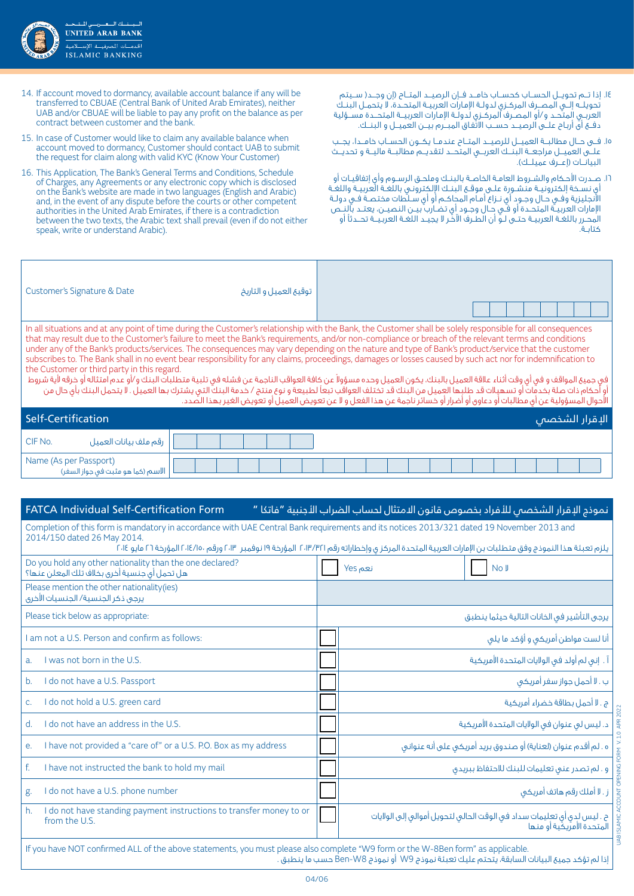

- 14.إذا تـــم تحويـــل الحســـاب كحســـاب خامـــد فـــإن الرصيـــد المتـــاح )إن وجـــد) ســـيتم تحويلـــه إلـــي المصـــرف المركــزي لدولــة اإلمـارات العربيــة المتحــدة، ال يتحمــل البنــك العربــي المتحــد و/أو المصــرف المركــزي لدولــة اإلمـارات العربيـــة المتحـــدة مســـؤلية دفـــع أى أربـاح علـــى الرصيـــد حســـب االتفـاق المبـــرم بيـــن العميـــل و البنـــك.
- 15.فـــى حـــال مطالبـــة العميـــل للرصيـــد المتـــاح عندمـــا يكـــون الحســـاب خامـــدا، يجـــب علـــى العميـــل مراجعـــة البنـــك العربـــي المتحـــد لتقديـــم مطالبـــة ماليـــة و تحديـــث البيانــات (إعــرف عميلــك).
- 16.صــدرت األحـكام والشــروط العامــة الخاصــة بالبنــك وملحــق الرســوم وأي إتفاقيــات أو أي نسـخة إلكترونيــة منشـورة علــى موقـع البنــك الإلكترونـي باللغـة العربيــة واللغـة االنجليزية وفــي حــال وجــود أي نــزاع أمــام المحاكــم أو أي ســلطات مختصــة فــي دولــة الإمارات العربيــة المتحــدة أو فــّي حـال وجـود أي تضــارب بيــن النـصيــن، يعتــد بالنــص المحــرر باللغــة العربيــة حتــى لــو أن الطــرف اآلخـر ال يجيــد اللغــة العربـيـــة تحـــدثًا أو كتابــة.
- 14. If account moved to dormancy, available account balance if any will be transferred to CBUAE (Central Bank of United Arab Emirates), neither UAB and/or CBUAE will be liable to pay any profit on the balance as per contract between customer and the bank.
- 15. In case of Customer would like to claim any available balance when account moved to dormancy, Customer should contact UAB to submit the request for claim along with valid KYC (Know Your Customer)
- 16. This Application, The Bank's General Terms and Conditions, Schedule of Charges, any Agreements or any electronic copy which is disclosed on the Bank's website are made in two languages (English and Arabic) and, in the event of any dispute before the courts or other competent authorities in the United Arab Emirates, if there is a contradiction between the two texts, the Arabic text shall prevail (even if do not either speak, write or understand Arabic).

| Customer's Signature & Date                                                                                                                                                                                                                                                                                                                                                                                                                                                                                                                                                                                                                                                                                                                                                                                                                                                                                             | توقيع العميل و التاريخ |                |  |  |  |
|-------------------------------------------------------------------------------------------------------------------------------------------------------------------------------------------------------------------------------------------------------------------------------------------------------------------------------------------------------------------------------------------------------------------------------------------------------------------------------------------------------------------------------------------------------------------------------------------------------------------------------------------------------------------------------------------------------------------------------------------------------------------------------------------------------------------------------------------------------------------------------------------------------------------------|------------------------|----------------|--|--|--|
| In all situations and at any point of time during the Customer's relationship with the Bank, the Customer shall be solely responsible for all consequences<br>that may result due to the Customer's failure to meet the Bank's requirements, and/or non-compliance or breach of the relevant terms and conditions<br>under any of the Bank's products/services. The consequences may vary depending on the nature and type of Bank's product/service that the customer<br>subscribes to. The Bank shall in no event bear responsibility for any claims, proceedings, damages or losses caused by such act nor for indemnification to<br>the Customer or third party in this regard.<br>ً في جميع المواقف و في أي وقت أثناء علاقة العميل بالبنك، يكون العميل وحده مسؤولاً عن كافة العربة عن فشله في تلبية متطلبات البنك و/أو عدم امتثاله أو خرقه لأية شروط<br>أو أحكام ذات صلة بخدمات أو تسهيلات قد طلبها العميل من البن |                        |                |  |  |  |
|                                                                                                                                                                                                                                                                                                                                                                                                                                                                                                                                                                                                                                                                                                                                                                                                                                                                                                                         |                        |                |  |  |  |
| Self-Certification                                                                                                                                                                                                                                                                                                                                                                                                                                                                                                                                                                                                                                                                                                                                                                                                                                                                                                      |                        | الإقرار الشخصص |  |  |  |

|                                  | . . | ___ |
|----------------------------------|-----|-----|
| CIF No.<br>رقم ملف بيانات العميل |     |     |
|                                  |     |     |

# نموذج الإقرار الشخصي للأفراد بخصوص قانون الامتثال لحساب الضراب الأجنبية "فاتكا " \_\_\_\_\_\_\_\_\_\_\_\_\_\_\_\_\_\_\_<br>نموذج الإقرار الشخصي للأفراد بخصوص قانون الامتثال لحساب الضراب الأجنبية "فاتكا "

إذا لم تؤكد جميع البيانات السابقة، يتحتم عليك تعبئة نموذج 9W أو نموذج 8W-Ben حسب ما ينطبق .

Completion of this form is mandatory in accordance with UAE Central Bank requirements and its notices 2013/321 dated 19 November 2013 and 2014/150 dated 26 May 2014.

| يلزم تعبئة هذا النموذج وفق متطلبات بن الإمارات العربية المتحدة المركز ى وإخطاراته رقم ٢٠١٣/٣/١٢ المؤرخة ١٩ نوفمبر ١٠١٣، ٢ المؤرخة ٢٦ مايو ٢٠١٤، المؤرخة ٢٦ مايو ٢٠١٤ |                                                                                                     |  |  |  |
|----------------------------------------------------------------------------------------------------------------------------------------------------------------------|-----------------------------------------------------------------------------------------------------|--|--|--|
| Do you hold any other nationality than the one declared?<br>هل تحمل أى جنسية أخرى بخلاف تلك المعلن عنها؟                                                             | نعم Yes<br>No J                                                                                     |  |  |  |
| Please mention the other nationality(ies)<br>يرجى ذكر الجنسية/ الجنسيات الأخرى                                                                                       |                                                                                                     |  |  |  |
| Please tick below as appropriate:                                                                                                                                    | يرجى التأشير فى الخانات التالية حيثما ينطبق                                                         |  |  |  |
| am not a U.S. Person and confirm as follows:                                                                                                                         | أنا لست مواطن أمريكى و أؤكد ما يلى                                                                  |  |  |  |
| I was not born in the U.S.<br>a <sub>r</sub>                                                                                                                         | آ . إنى لم أولد في الولايات المتحدة الأمريكية                                                       |  |  |  |
| I do not have a U.S. Passport<br>b.                                                                                                                                  | ب . لا أحمل جواز سفر أمريكي                                                                         |  |  |  |
| I do not hold a U.S. green card<br>C.                                                                                                                                | ج . لا أحمل بطاقة خضراء أمريكية                                                                     |  |  |  |
| I do not have an address in the U.S.<br>$d$ .                                                                                                                        | د. ليس لى عنوان فى الولايات المتحدة الأمريكية                                                       |  |  |  |
| I have not provided a "care of" or a U.S. P.O. Box as my address<br>е.                                                                                               | ه . لم أقدم عنوان (لعناية) أو صندوق بريد أمريكي على أنه عنواني                                      |  |  |  |
| f.<br>I have not instructed the bank to hold my mail                                                                                                                 | و . لم تصدر عنى تعليمات للبنك للاحتفاظ ببريدق                                                       |  |  |  |
| I do not have a U.S. phone number<br>g.                                                                                                                              | ز . لا أملك رقم هاتف أمريكى                                                                         |  |  |  |
| h.<br>I do not have standing payment instructions to transfer money to or<br>from the U.S.                                                                           | ح . ليس لدى أى تعليمات سداد فى الوقت الحالى لتحويل أموالى إلى الولايات<br>المتحدة الأمريكية أو منها |  |  |  |
| If you have NOT confirmed ALL of the above statements, you must please also complete "W9 form or the W-8Ben form" as applicable.                                     |                                                                                                     |  |  |  |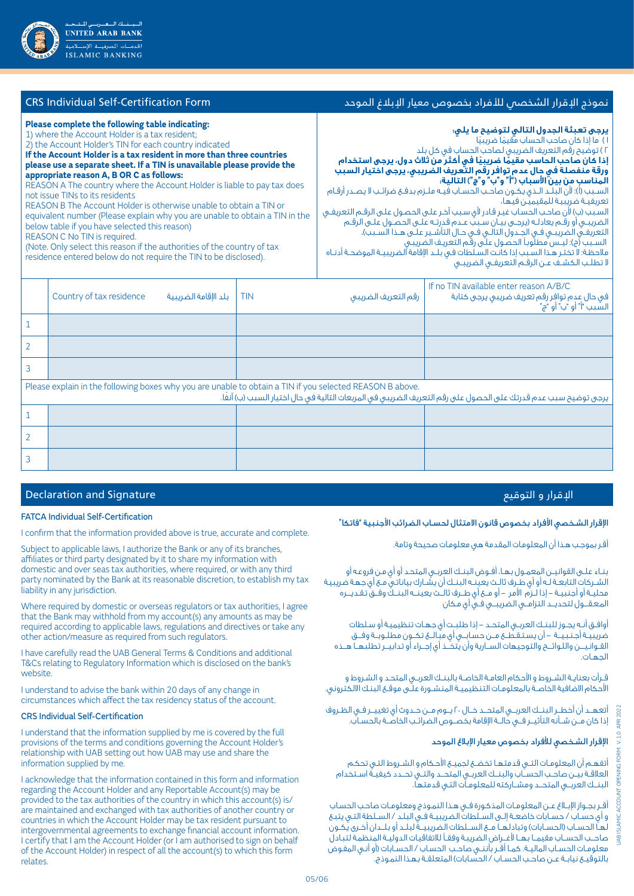| Please complete the following table indicating:<br>1) where the Account Holder is a tax resident;<br>2) the Account Holder's TIN for each country indicated<br>If the Account Holder is a tax resident in more than three countries<br>please use a separate sheet. If a TIN is unavailable please provide the<br>appropriate reason A, B OR C as follows:<br>REASON A The country where the Account Holder is liable to pay tax does<br>not issue TINs to its residents<br>REASON B The Account Holder is otherwise unable to obtain a TIN or<br>equivalent number (Please explain why you are unable to obtain a TIN in the<br>below table if you have selected this reason)<br>REASON C No TIN is required.<br>(Note, Only select this reason if the authorities of the country of tax<br>residence entered below do not require the TIN to be disclosed). | برجى تعبئة الجدول التالى لتوضيح ما يلى:<br>٢) توضيح رقم التعريف الضريبي لصاحب الحساب في كل بلد<br>ذا كان صاحب الحاسب مقيمًا ضريبيًا في أكثر من ثلاث دول، يرجى استخدام<br>ورقة منفصلة في حال عدم توافر رقم التعريف الضريبي، يرجِّي اختيار السبب<br>الْمِناسب من بين الأسباب ("أ" و"ب" و"ج") التالية:<br>لسـبب (أ): لأن البلـد الـذي يكـون صاحـب الحسـاب فيـه ملـزم بدفـع ضرائـب لا يصـدر أرقـام<br>لسبب (ب) لأن صاحب الحساب غير قادر لأى سبب آخر على الحصول على الرقم التعريفي<br>لضريبـي أو رقـم يعادلـه (يرجـي بيـان سـببّ عـدم قدرتـه علـي الحصـول علـي الرقـم<br>لتعريفــق الضريبــى فــى الجــدول التالــى فــى حــال التأشــير علــى هــذا الســبب)،<br>السـبب آج): ليـس مطلوباً الحصول علـَّى رقَم التعريـف الضريبـى<br>علاحظة: لا تختر هذا السبب إذا كانت السلطات في بلـد الإقامة الضريبيـة الموضحـة أدنـاه<br>! تطلب الكشف عن الرقم التعريفى الضريبى | ) ما إذا كان صاحب الحساب مقيمًا ضريبيًا<br>تعريفيـة ضريبيـة للمقيميـن فيها، |
|---------------------------------------------------------------------------------------------------------------------------------------------------------------------------------------------------------------------------------------------------------------------------------------------------------------------------------------------------------------------------------------------------------------------------------------------------------------------------------------------------------------------------------------------------------------------------------------------------------------------------------------------------------------------------------------------------------------------------------------------------------------------------------------------------------------------------------------------------------------|--------------------------------------------------------------------------------------------------------------------------------------------------------------------------------------------------------------------------------------------------------------------------------------------------------------------------------------------------------------------------------------------------------------------------------------------------------------------------------------------------------------------------------------------------------------------------------------------------------------------------------------------------------------------------------------------------------------------------------------------------------------------------------------------------------------------------------------------------------------|-----------------------------------------------------------------------------|
|                                                                                                                                                                                                                                                                                                                                                                                                                                                                                                                                                                                                                                                                                                                                                                                                                                                               | If no $T N$ available opter reason $\Lambda / R / C$                                                                                                                                                                                                                                                                                                                                                                                                                                                                                                                                                                                                                                                                                                                                                                                                         |                                                                             |

نموذج اإلقرار الشخصي لألفراد بخصوص معيار اإلبالغ الموحد Form Certification-Self Individual CRS

| Country of tax residence<br>بلد الإقامة الضريبية | <b>TIN</b><br>رقم التعريف الضريبى                                                                        | If no TIN available enter reason A/B/C<br>في حال عدم توافر رقم تعريف ضريبي يرجى كتابة<br>السَّبِبِ "أ" أو "ب" أو "ج" |
|--------------------------------------------------|----------------------------------------------------------------------------------------------------------|----------------------------------------------------------------------------------------------------------------------|
|                                                  |                                                                                                          |                                                                                                                      |
|                                                  |                                                                                                          |                                                                                                                      |
|                                                  |                                                                                                          |                                                                                                                      |
|                                                  | Please explain in the following boxes why you are unable to obtain a TIN if you selected REASON B above. | يرجى توضيح سبب عدم قدرتك على الحصول على رقم التعريف الضريبى فى المربعات التالية فى حال اختيار السبب (ب) آنفًا.       |
|                                                  |                                                                                                          |                                                                                                                      |
|                                                  |                                                                                                          |                                                                                                                      |
|                                                  |                                                                                                          |                                                                                                                      |

# الإقرار و التوقيع السياسي المستخدم المستخدم المستخدم العاملية المستخدم العاملية المستخدم العاملية العاملية الع

### FATCA Individual Self-Certification

I confirm that the information provided above is true, accurate and complete.

Subject to applicable laws, I authorize the Bank or any of its branches, affiliates or third party designated by it to share my information with domestic and over seas tax authorities, where required, or with any third party nominated by the Bank at its reasonable discretion, to establish my tax liability in any jurisdiction.

Where required by domestic or overseas regulators or tax authorities, I agree that the Bank may withhold from my account(s) any amounts as may be required according to applicable laws, regulations and directives or take any other action/measure as required from such regulators.

I have carefully read the UAB General Terms & Conditions and additional T&Cs relating to Regulatory Information which is disclosed on the bank's website.

I understand to advise the bank within 20 days of any change in circumstances which affect the tax residency status of the account.

### CRS Individual Self-Certification

I understand that the information supplied by me is covered by the full provisions of the terms and conditions governing the Account Holder's relationship with UAB setting out how UAB may use and share the information supplied by me.

I acknowledge that the information contained in this form and information regarding the Account Holder and any Reportable Account(s) may be provided to the tax authorities of the country in which this account(s) is/ are maintained and exchanged with tax authorities of another country or countries in which the Account Holder may be tax resident pursuant to intergovernmental agreements to exchange financial account information. I certify that I am the Account Holder (or I am authorised to sign on behalf of the Account Holder) in respect of all the account(s) to which this form relates.

# الإقرار الشخصي الأفراد بخصوص قانون الامتثال لحسـاب الضرائب الأجنبية "فاتكا"

أقـر بموجـب هـذا أن المعلومـات المقدمة هي معلومـات صحيحة وتامة.

بنــاء علــى القوانيــن المعمــول بهــا، أفــوض البنــك العربــي المتحـد أو أي مـن فروعـه أو الشــركات التابعــة لــه أو أي طــرف ثالــث يعينــه البنــك أن يشــارك بياناتـي مــع أي جهـة ضريبيـة محليــة أو أجنبيــة - إذا لــزم األمر - أو مـــع أي طـــرف ثالـــث يعينـــه البنـــك وفـــق تـقـديــــره المعقــول لتحديــد التزامــي الضريبــي فــي أي مـكان

أوافــق أنــه يجــوز للبنــك العربــي المتحــد - إذا طلبــت أي جهــات تنظيميـة أو سـلطات ضريبيــة أجـنـبـيــة – أن يسـتـقـطــع مــن حسـابــو، أي مبـّـالــغ تكــون مطلــوبــة وفـــق القــوانـيــــن واللـوائــــح والتوجيهات الســـارية وأن يتخـــذ أي إجـــراء أو تدابيـــر تطلبهـــا هـــذه الجهــات.

قــرأت بعنايــة الشــروط و األحكام العامــة الخاصــة بالبنــك العربــي المتحـد و الشـروط و الأحكام الاضافية الخاصــة بالمعلومـات التنظيميــة المنشــورة علـّـى موقــع البنـك الالكتروني.

أتعهـــد أن أخطـــر البنـــك العربـــي المتحـــد خـــال 20 يـــوم مـــن حــدوث أي تغييـــر فــي الظــروف إذا كان مـــن شـــأنه التأثيـــر فـــي حالـــة اإلقامة بخصـــوص الضرائــب الخاصـــة بالحســاب.

## اإلقرار الشـخصي لألفراد بخصوص معيار اإلبالغ الموحد

أتفهــم أن المعلومــات التــي قدمتهــا تخضــع لجميــع األحـكام و الشــروط التـي تحكـم العالقــة بيــن صاحــب الحســـاب والبنـــك العربــي المتحـــد والتــي تحـــدد كيفيــة اســتخدام البنـــك العربـــي المتحـــد ومشـــاركته للمعلومــات التـي قدمتهـا.

أقــر بجــواز اإلبــاغ عــن المعلومــات المذكـورة فــي هـذا النمـوذج ومعلومــات صاحـب الحسـاب و أي حســاب / حســابات خاضعــة إلــى الســلطات الضريبيــة فــي البلـد / الســلطة التـي يتبـع لُهـاّ الحسـاب (الحسـابات) وتبادلهـا مـع الســلطات الضريبيــةً لبلــد أو بلــدان أخـرى يـُكـون صاحـــب الحســـاب مقيمـــا بهـــا ألغـــراض الضريبـة وفقــً لالتفاقيـات الدوليــة المنظمـة لتبـادل معلومــات الحســاب الماليــة. كمــا أقــر بأننــي صاحــب الحسـاب / الحســابات )أو أنـي المفـوض بالتوقيــع نيابـة عــن صاحـب الحسـاب / الحسّابات) المتعلقـة بهـذا النمـوذج.